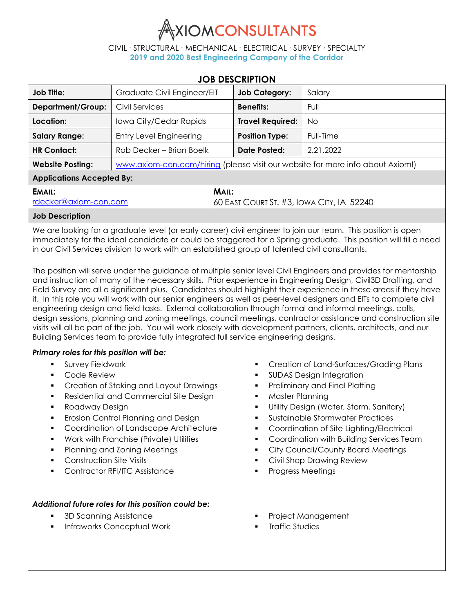

CIVIL ∙ STRUCTURAL ∙ MECHANICAL ∙ ELECTRICAL ∙ SURVEY ∙ SPECIALTY **2019 and 2020 Best Engineering Company of the Corridor**

## **JOB DESCRIPTION**

| <b>Job Title:</b>                | Graduate Civil Engineer/EIT                                                    |                                                           | <b>Job Category:</b>    | Salary    |  |  |
|----------------------------------|--------------------------------------------------------------------------------|-----------------------------------------------------------|-------------------------|-----------|--|--|
| <b>Department/Group:</b>         | Civil Services                                                                 |                                                           | <b>Benefits:</b>        | Full      |  |  |
| Location:                        | Iowa City/Cedar Rapids                                                         |                                                           | <b>Travel Required:</b> | No.       |  |  |
| <b>Salary Range:</b>             | Entry Level Engineering                                                        |                                                           | <b>Position Type:</b>   | Full-Time |  |  |
| <b>HR Contact:</b>               | Rob Decker - Brian Boelk                                                       |                                                           |                         | 2.21.2022 |  |  |
| <b>Website Posting:</b>          | www.axiom-con.com/hiring (please visit our website for more info about Axiom!) |                                                           |                         |           |  |  |
| <b>Applications Accepted By:</b> |                                                                                |                                                           |                         |           |  |  |
| EMAIL:<br>rdecker@axiom-con.com  |                                                                                | <b>MAIL:</b><br>60 EAST COURT ST. #3, IOWA CITY, IA 52240 |                         |           |  |  |
| Tale Nacada Basi                 |                                                                                |                                                           |                         |           |  |  |

## **Job Description**

We are looking for a graduate level (or early career) civil engineer to join our team. This position is open immediately for the ideal candidate or could be staggered for a Spring graduate. This position will fill a need in our Civil Services division to work with an established group of talented civil consultants.

The position will serve under the guidance of multiple senior level Civil Engineers and provides for mentorship and instruction of many of the necessary skills. Prior experience in Engineering Design, Civil3D Drafting, and Field Survey are all a significant plus. Candidates should highlight their experience in these areas if they have it. In this role you will work with our senior engineers as well as peer-level designers and EITs to complete civil engineering design and field tasks. External collaboration through formal and informal meetings, calls, design sessions, planning and zoning meetings, council meetings, contractor assistance and construction site visits will all be part of the job. You will work closely with development partners, clients, architects, and our Building Services team to provide fully integrated full service engineering designs.

## *Primary roles for this position will be:*

- **Survey Fieldwork**
- Code Review
- **Creation of Staking and Layout Drawings**
- Residential and Commercial Site Design
- Roadway Design
- **Erosion Control Planning and Design**
- **Coordination of Landscape Architecture**
- Work with Franchise (Private) Utilities
- Planning and Zoning Meetings
- Construction Site Visits
- Contractor RFI/ITC Assistance

## *Additional future roles for this position could be:*

- 3D Scanning Assistance
- Infraworks Conceptual Work
- **Creation of Land-Surfaces/Grading Plans**
- **SUDAS Design Integration**
- **•** Preliminary and Final Platting
- Master Planning
- Utility Design (Water, Storm, Sanitary)
- Sustainable Stormwater Practices
- **Coordination of Site Lighting/Electrical**
- **Coordination with Building Services Team**
- City Council/County Board Meetings
- Civil Shop Drawing Review
- Progress Meetings
- Project Management
- Traffic Studies